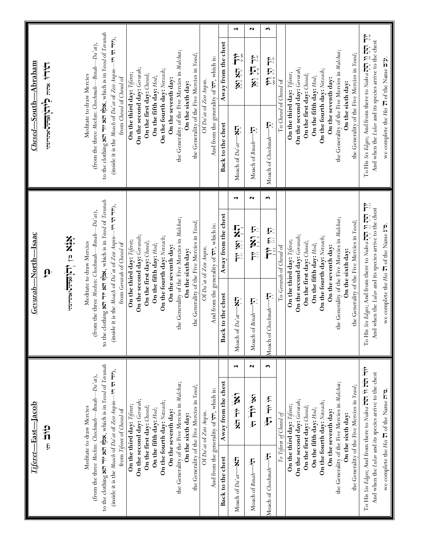|                               |                            |                                                                                                                                                                                                                                                |                          |                                                |                                                                        |                                                                                                        |                           |                            |                             |                           |                        |                             |                     |                                                |                   |                                              |                                 |                                           |                                   | ⊣                               | 2                                                | w                                                         |                         |                            |                             |                           |                        |                             |                     |                                                        |                   |                                              |                                                                                                                                                                                               |                                                                            |
|-------------------------------|----------------------------|------------------------------------------------------------------------------------------------------------------------------------------------------------------------------------------------------------------------------------------------|--------------------------|------------------------------------------------|------------------------------------------------------------------------|--------------------------------------------------------------------------------------------------------|---------------------------|----------------------------|-----------------------------|---------------------------|------------------------|-----------------------------|---------------------|------------------------------------------------|-------------------|----------------------------------------------|---------------------------------|-------------------------------------------|-----------------------------------|---------------------------------|--------------------------------------------------|-----------------------------------------------------------|-------------------------|----------------------------|-----------------------------|---------------------------|------------------------|-----------------------------|---------------------|--------------------------------------------------------|-------------------|----------------------------------------------|-----------------------------------------------------------------------------------------------------------------------------------------------------------------------------------------------|----------------------------------------------------------------------------|
|                               | <b>HULL NEWSTAP CALIFY</b> |                                                                                                                                                                                                                                                | Meditate to draw Mercies | (from the three Mochin: Chochmah—Binah—Da'at), | to the clothing <b>xth the xth ripx</b> , which is in Yesod of Terunah | (inside it is the <i>Moach of Da'at of Zeir Anpin</i> —in $\forall$ $\forall$ $\neg$ $\neg$ ),         | from Chesed of Chesed of  | On the third day: Tiferet; | On the second day: Gerurah; | On the first day: Chesed; | On the fifth day: Hod; | On the fourth day: Netzach; | On the seventh day: | the Generality of the Five Mercies in Malchut; | On the sixth day: | the Generality of the Five Mercies in Yesod; | Of Da'at of Zeir Anpin.         | And from the generality of it, which is:  | Away from the chest               | たい なが                           | デロンダ                                             | 计划线                                                       | To Chesed of Chesed of  | On the third day: Tiferet; | On the second day: Gerurah; | On the first day: Chesed; | On the fifth day: Hod; | On the fourth day: Netzach; | On the seventh day: | the Generality of the Five Mercies in Malchut;         | On the sixth day: | the Generality of the Five Mercies in Yesod; | To His Six Edges; And from there to Nukva $\overline{11}$ , $\overline{11}$ , $\overline{11}$ , $\overline{11}$ , $\overline{11}$ ,<br>And when the Lular and its species arrive to the chest | we complete the <i>Hei</i> $\uparrow$ of the Name $\uparrow$ " <i>f</i> ". |
| $\emph{Closed—South—Abraham}$ |                            |                                                                                                                                                                                                                                                |                          |                                                |                                                                        |                                                                                                        |                           |                            |                             |                           |                        |                             |                     |                                                |                   |                                              |                                 |                                           | Back to the chest                 | ្រ<br>7<br>Moach of Da'at-      | Moach of $\text{Bin} \longrightarrow \mathbb{R}$ | ׇׇׇ֧֓֓֓׆֧֧֧֧֧֧֧֧֧֧֧֧֧֧֧֧֧֧֓֓֓֓<br>׀֩<br>Moach of Chochmah |                         |                            |                             |                           |                        |                             |                     |                                                        |                   |                                              |                                                                                                                                                                                               |                                                                            |
|                               |                            |                                                                                                                                                                                                                                                |                          |                                                |                                                                        |                                                                                                        |                           |                            |                             |                           |                        |                             |                     |                                                |                   |                                              |                                 |                                           |                                   | ⊣                               | 2                                                | w                                                         |                         |                            |                             |                           |                        |                             |                     |                                                        |                   |                                              |                                                                                                                                                                                               |                                                                            |
| Gevurah-North-Isaac           | Ů                          | XiX 卫行管理                                                                                                                                                                                                                                       | Meditate to draw Mercies | (from the three Mochin: Chochmah—Binah—Da'at), | to the clothing <b>xth</b> in xth consists in Yesod of Tevunah         | (inside it is the <i>Moach</i> of <i>Da'at</i> of <i>Zeir Anpin</i> —1 <sup>9</sup> 1 $\pi$ $\pi$ 19), | from Gerurah of Chesed of | On the third day: Tiferet; | On the second day: Gerurah; | On the first day: Chesed; | On the fifth day: Hod; | On the fourth day: Netzach; | On the seventh day: | the Generality of the Five Mercies in Malchut; | On the sixth day: | the Generality of the Five Mercies in Yesod; | Of Da'at of Zeir Anpin.         | And from the generality of its, which is: | Away from the chest               | にとる こうこく こうこく こうこう こうしょう こうこうかい | 经产生                                              | تيز نيا پند                                               | To Gerurah of Chesed of | On the third day: Tiferet; | On the second day: Gerurah; | On the first day: Chesed; | On the fifth day: Hod; | On the fourth day: Netzach; | On the seventh day: | the Generality of the Five Mercies in Malchut;         | On the sixth day: | the Generality of the Five Mercies in Yesod; | To His Six Edges; And from there to Nukva 17, n 17, 17<br>And when the Lular and its species arrive to the chest                                                                              | we complete the Hei 'n of the Name ".                                      |
|                               |                            |                                                                                                                                                                                                                                                |                          |                                                |                                                                        |                                                                                                        |                           |                            |                             |                           |                        |                             |                     |                                                |                   |                                              |                                 |                                           | Back to the chest                 | Moach of $Da'dt$ - $N$ :        | Moach of $\mathit{Binab}$ $-\mathit{b}$          | $\mathbf{F}$<br>Moach of Chochmah-                        |                         |                            |                             |                           |                        |                             |                     |                                                        |                   |                                              |                                                                                                                                                                                               |                                                                            |
|                               |                            |                                                                                                                                                                                                                                                |                          |                                                |                                                                        |                                                                                                        |                           |                            |                             |                           |                        |                             |                     |                                                |                   |                                              |                                 |                                           |                                   | ⊣                               | N                                                | w                                                         |                         |                            |                             |                           |                        |                             |                     |                                                        |                   |                                              |                                                                                                                                                                                               |                                                                            |
| Tiferet—East—Jacob            | ck<br>U                    |                                                                                                                                                                                                                                                |                          |                                                |                                                                        |                                                                                                        | from Tiferet of Chesed of | On the third day: Tiferet; | On the second day: Gerurah; | On the first day: Chesed; | On the fifth day: Hod; | On the fourth day: Netzach; | On the seventh day: | the Generality of the Five Mercies in Malchut; | On the sixth day: | the Generality of the Five Mercies in Yesod; | Of Da'at of Zeir Anpin.         | And from the generality of it, which is:  | Away from the chest               | 经非法                             | 计上半                                              | 计卡罗                                                       | To Tiferet of Chesed of | On the third day: Tiferet; | On the second day: Gerurah; | On the first day: Chesed; | On the fifth day: Hod; | On the fourth day: Netzach; | On the seventh day: | the Generality of the Five Mercies in Malchut;         | On the sixth day: | the Generality of the Five Mercies in Yesod; | And when the Lular and its species arrive to the chest                                                                                                                                        | we complete the Hei 'n of the Name n''a.                                   |
|                               |                            | to the clothing <b>xth</b> in xth albe, which is in Yesod of Tevunah<br>$-191$ $+171$ ),<br>$-Da'at$<br>(from the three <i>Mochin</i> : <i>Chochmah</i> —Binah-<br>(inside it is the Moach of Da'at of Zeir Anpin-<br>Meditate to draw Mercies |                          |                                                |                                                                        |                                                                                                        |                           |                            |                             |                           |                        |                             |                     |                                                |                   | Back to the chest                            | $\frac{1}{4}$<br>Moach of Da'ar | Moach of Binah <sup>-&gt;</sup>           | $\mathbf{r}$<br>Moach of Chochmah |                                 |                                                  |                                                           |                         |                            |                             |                           |                        |                             |                     | To His Six Edges; And from there to Nukva Hi in Hir Hi |                   |                                              |                                                                                                                                                                                               |                                                                            |